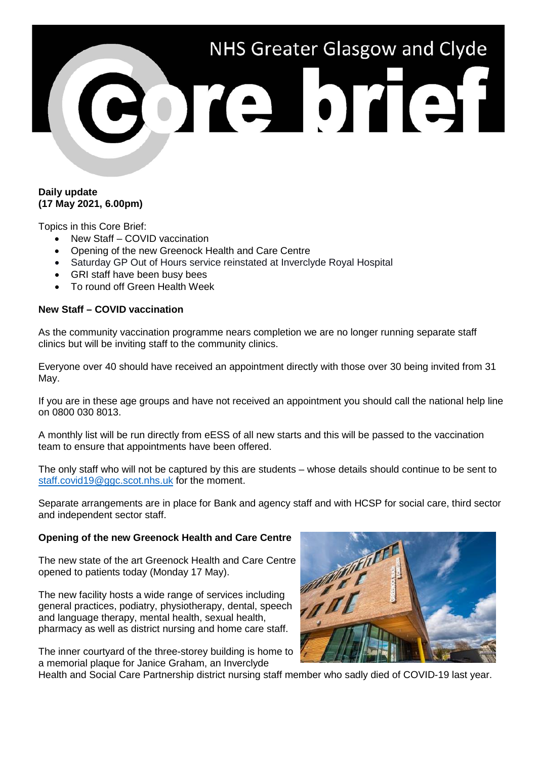# NHS Greater Glasgow and Clyde DIE DIET

## **Daily update (17 May 2021, 6.00pm)**

Topics in this Core Brief:

- New Staff COVID vaccination
- Opening of the new Greenock Health and Care Centre
- Saturday GP Out of Hours service reinstated at Inverclyde Royal Hospital
- GRI staff have been busy bees
- To round off Green Health Week

# **New Staff – COVID vaccination**

As the community vaccination programme nears completion we are no longer running separate staff clinics but will be inviting staff to the community clinics.

Everyone over 40 should have received an appointment directly with those over 30 being invited from 31 May.

If you are in these age groups and have not received an appointment you should call the national help line on 0800 030 8013.

A monthly list will be run directly from eESS of all new starts and this will be passed to the vaccination team to ensure that appointments have been offered.

The only staff who will not be captured by this are students – whose details should continue to be sent to [staff.covid19@ggc.scot.nhs.uk](mailto:staff.covid19@ggc.scot.nhs.uk) for the moment.

Separate arrangements are in place for Bank and agency staff and with HCSP for social care, third sector and independent sector staff.

## **Opening of the new Greenock Health and Care Centre**

The new state of the art Greenock Health and Care Centre opened to patients today (Monday 17 May).

The new facility hosts a wide range of services including general practices, podiatry, physiotherapy, dental, speech and language therapy, mental health, sexual health, pharmacy as well as district nursing and home care staff.

The inner courtyard of the three-storey building is home to a memorial plaque for Janice Graham, an Inverclyde



Health and Social Care Partnership district nursing staff member who sadly died of COVID-19 last year.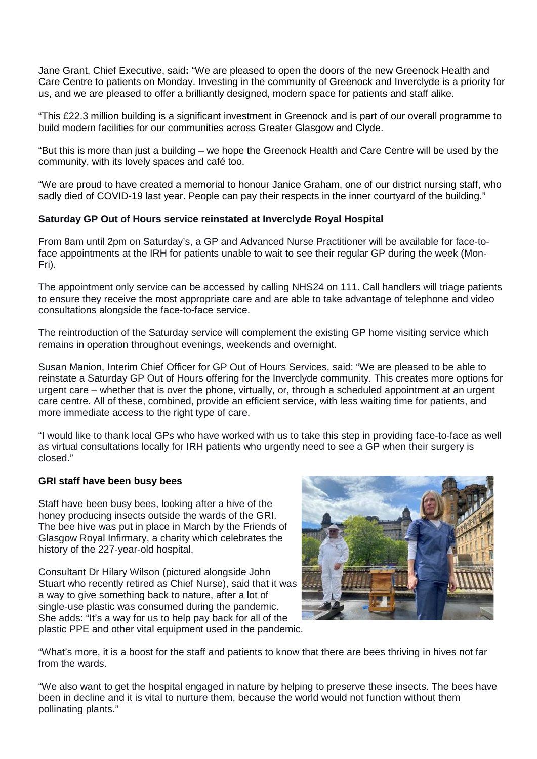Jane Grant, Chief Executive, said**:** "We are pleased to open the doors of the new Greenock Health and Care Centre to patients on Monday. Investing in the community of Greenock and Inverclyde is a priority for us, and we are pleased to offer a brilliantly designed, modern space for patients and staff alike.

"This £22.3 million building is a significant investment in Greenock and is part of our overall programme to build modern facilities for our communities across Greater Glasgow and Clyde.

"But this is more than just a building – we hope the Greenock Health and Care Centre will be used by the community, with its lovely spaces and café too.

"We are proud to have created a memorial to honour Janice Graham, one of our district nursing staff, who sadly died of COVID-19 last year. People can pay their respects in the inner courtyard of the building."

# **Saturday GP Out of Hours service reinstated at Inverclyde Royal Hospital**

From 8am until 2pm on Saturday's, a GP and Advanced Nurse Practitioner will be available for face-toface appointments at the IRH for patients unable to wait to see their regular GP during the week (Mon-Fri).

The appointment only service can be accessed by calling NHS24 on 111. Call handlers will triage patients to ensure they receive the most appropriate care and are able to take advantage of telephone and video consultations alongside the face-to-face service.

The reintroduction of the Saturday service will complement the existing GP home visiting service which remains in operation throughout evenings, weekends and overnight.

Susan Manion, Interim Chief Officer for GP Out of Hours Services, said: "We are pleased to be able to reinstate a Saturday GP Out of Hours offering for the Inverclyde community. This creates more options for urgent care – whether that is over the phone, virtually, or, through a scheduled appointment at an urgent care centre. All of these, combined, provide an efficient service, with less waiting time for patients, and more immediate access to the right type of care.

"I would like to thank local GPs who have worked with us to take this step in providing face-to-face as well as virtual consultations locally for IRH patients who urgently need to see a GP when their surgery is closed."

## **GRI staff have been busy bees**

Staff have been busy bees, looking after a hive of the honey producing insects outside the wards of the GRI. The bee hive was put in place in March by the Friends of Glasgow Royal Infirmary, a charity which celebrates the history of the 227-year-old hospital.

Consultant Dr Hilary Wilson (pictured alongside John Stuart who recently retired as Chief Nurse), said that it was a way to give something back to nature, after a lot of single-use plastic was consumed during the pandemic. She adds: "It's a way for us to help pay back for all of the plastic PPE and other vital equipment used in the pandemic.



"What's more, it is a boost for the staff and patients to know that there are bees thriving in hives not far from the wards.

"We also want to get the hospital engaged in nature by helping to preserve these insects. The bees have been in decline and it is vital to nurture them, because the world would not function without them pollinating plants."